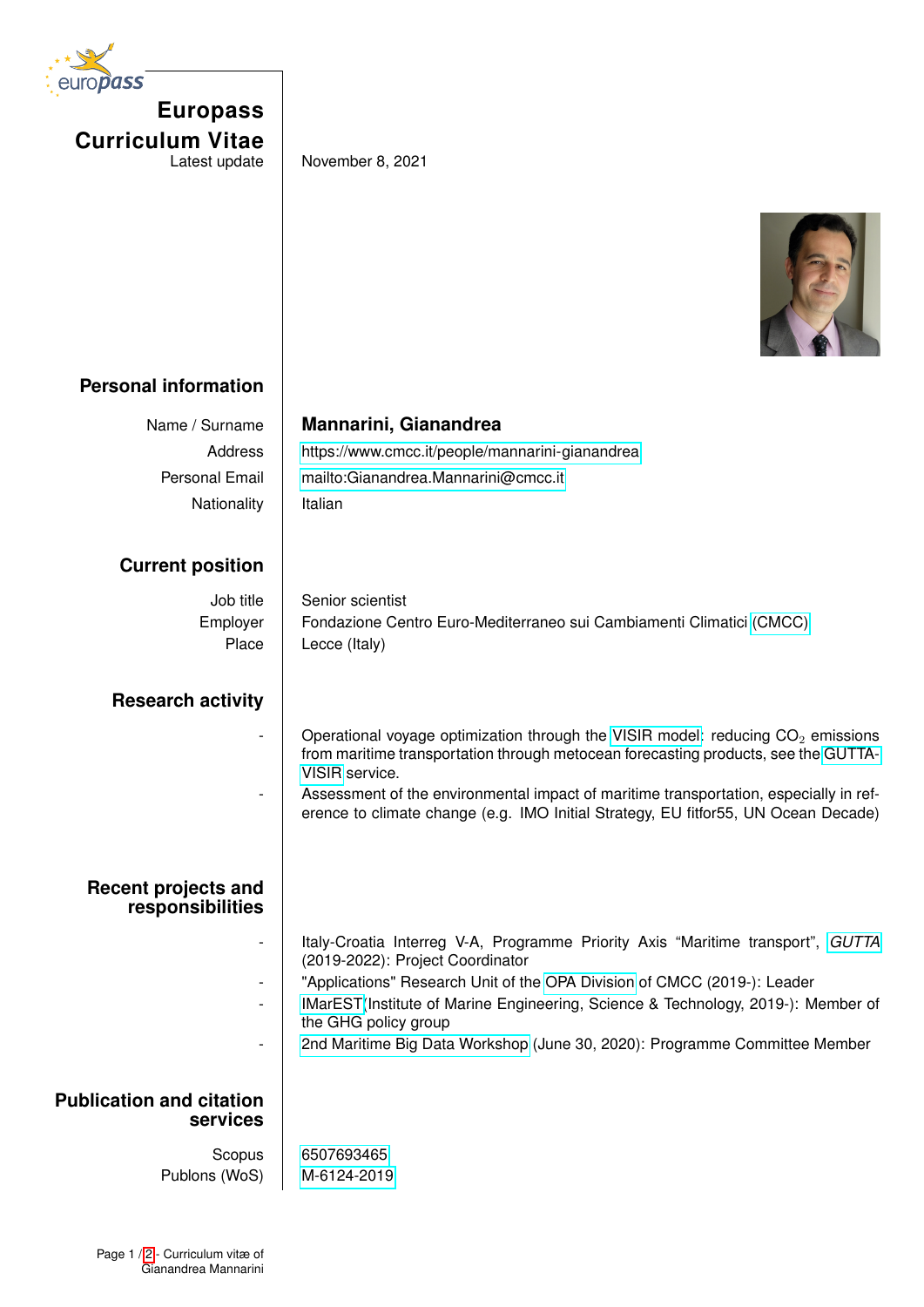| europass |                         |
|----------|-------------------------|
|          | <b>Europass</b>         |
|          | <b>Curriculum Vitae</b> |
|          | Latest update           |

November 8, 2021



## **Personal information**

| Name / Surname                              | <b>Mannarini, Gianandrea</b>                                                                                        |
|---------------------------------------------|---------------------------------------------------------------------------------------------------------------------|
| Address                                     | https://www.cmcc.it/people/mannarini-gianandrea                                                                     |
| Personal Email                              | mailto:Gianandrea.Mannarini@cmcc.it                                                                                 |
| Nationality                                 | Italian                                                                                                             |
|                                             |                                                                                                                     |
| <b>Current position</b>                     |                                                                                                                     |
| Job title                                   | Senior scientist                                                                                                    |
| Employer                                    | Fondazione Centro Euro-Mediterraneo sui Cambiamenti Climatici (CMCC)                                                |
| Place                                       | Lecce (Italy)                                                                                                       |
|                                             |                                                                                                                     |
| <b>Research activity</b>                    |                                                                                                                     |
|                                             | Operational voyage optimization through the VISIR model: reducing $CO2$ emissions                                   |
|                                             | from maritime transportation through metocean forecasting products, see the GUTTA-                                  |
|                                             | VISIR service.<br>Assessment of the environmental impact of maritime transportation, especially in ref-             |
|                                             | erence to climate change (e.g. IMO Initial Strategy, EU fitfor55, UN Ocean Decade)                                  |
|                                             |                                                                                                                     |
|                                             |                                                                                                                     |
| <b>Recent projects and</b>                  |                                                                                                                     |
| responsibilities                            |                                                                                                                     |
|                                             | Italy-Croatia Interreg V-A, Programme Priority Axis "Maritime transport", GUTTA<br>(2019-2022): Project Coordinator |
|                                             | "Applications" Research Unit of the OPA Division of CMCC (2019-): Leader                                            |
|                                             | IMarEST(Institute of Marine Engineering, Science & Technology, 2019-): Member of<br>the GHG policy group            |
|                                             | 2nd Maritime Big Data Workshop (June 30, 2020): Programme Committee Member                                          |
|                                             |                                                                                                                     |
| <b>Publication and citation</b><br>services |                                                                                                                     |
|                                             |                                                                                                                     |
| Scopus<br>Publons (WoS)                     | 6507693465<br>M-6124-2019                                                                                           |
|                                             |                                                                                                                     |